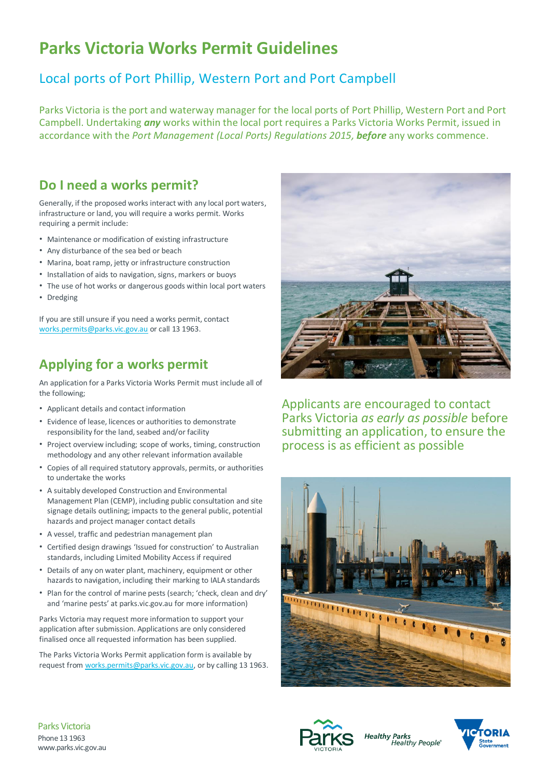# **Parks Victoria Works Permit Guidelines**

#### Local ports of Port Phillip, Western Port and Port Campbell

Parks Victoria is the port and waterway manager for the local ports of Port Phillip, Western Port and Port Campbell. Undertaking *any* works within the local port requires a Parks Victoria Works Permit, issued in accordance with the *Port Management (Local Ports) Regulations 2015, before* any works commence.

#### **Do I need a works permit?**

Generally, if the proposed works interact with any local port waters, infrastructure or land, you will require a works permit. Works requiring a permit include:

- Maintenance or modification of existing infrastructure
- Any disturbance of the sea bed or beach
- Marina, boat ramp, jetty or infrastructure construction
- Installation of aids to navigation, signs, markers or buoys
- The use of hot works or dangerous goods within local port waters
- Dredging

If you are still unsure if you need a works permit, contact [works.permits@parks.vic.gov.au](mailto:works.permits@parks.vic.gov.au) or call 13 1963.

#### **Applying for a works permit**

An application for a Parks Victoria Works Permit must include all of the following;

- Applicant details and contact information
- Evidence of lease, licences or authorities to demonstrate responsibility for the land, seabed and/or facility
- Project overview including; scope of works, timing, construction methodology and any other relevant information available
- Copies of all required statutory approvals, permits, or authorities to undertake the works
- A suitably developed Construction and Environmental Management Plan (CEMP), including public consultation and site signage details outlining; impacts to the general public, potential hazards and project manager contact details
- A vessel, traffic and pedestrian management plan
- Certified design drawings 'Issued for construction' to Australian standards, including Limited Mobility Access if required
- Details of any on water plant, machinery, equipment or other hazards to navigation, including their marking to IALA standards
- Plan for the control of marine pests (search; 'check, clean and dry' and 'marine pests' at parks.vic.gov.au for more information)

Parks Victoria may request more information to support your application after submission. Applications are only considered finalised once all requested information has been supplied.

The Parks Victoria Works Permit application form is available by request from [works.permits@parks.vic.gov.au,](mailto:works.permits@parks.vic.gov.au) or by calling 13 1963.



Applicants are encouraged to contact Parks Victoria *as early as possible* before submitting an application, to ensure the process is as efficient as possible





**Healthy Parks** Healthy People®